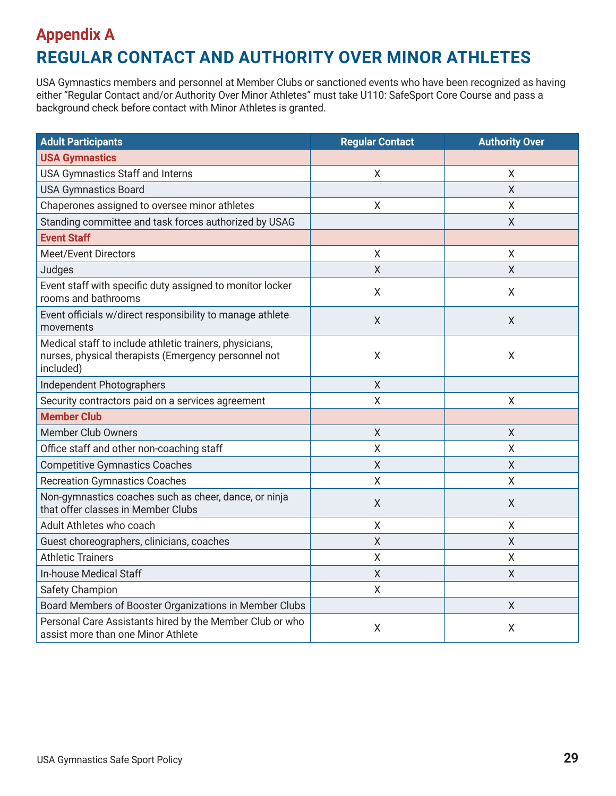## **Appendix A REGULAR CONTACT AND AUTHORITY OVER MINOR ATHLETES**

USA Gymnastics members and personnel at Member Clubs or sanctioned events who have been recognized as having either "Regular Contact and/or Authority Over Minor Athletes" must take U110: SafeSport Core Course and pass a background check before contact with Minor Athletes is granted.

| <b>Adult Participants</b>                                                                                                    | <b>Regular Contact</b> | <b>Authority Over</b> |
|------------------------------------------------------------------------------------------------------------------------------|------------------------|-----------------------|
| <b>USA Gymnastics</b>                                                                                                        |                        |                       |
| USA Gymnastics Staff and Interns                                                                                             | X                      | X                     |
| <b>USA Gymnastics Board</b>                                                                                                  |                        | $\overline{X}$        |
| Chaperones assigned to oversee minor athletes                                                                                | X                      | X                     |
| Standing committee and task forces authorized by USAG                                                                        |                        | X                     |
| <b>Event Staff</b>                                                                                                           |                        |                       |
| <b>Meet/Event Directors</b>                                                                                                  | Χ                      | Χ                     |
| Judges                                                                                                                       | X                      | X                     |
| Event staff with specific duty assigned to monitor locker<br>rooms and bathrooms                                             | Χ                      | X                     |
| Event officials w/direct responsibility to manage athlete<br>movements                                                       | Χ                      | X                     |
| Medical staff to include athletic trainers, physicians,<br>nurses, physical therapists (Emergency personnel not<br>included) | X                      | $\sf X$               |
| Independent Photographers                                                                                                    | $\overline{X}$         |                       |
| Security contractors paid on a services agreement                                                                            | X                      | X                     |
| <b>Member Club</b>                                                                                                           |                        |                       |
| <b>Member Club Owners</b>                                                                                                    | X                      | $\sf X$               |
| Office staff and other non-coaching staff                                                                                    | Χ                      | Χ                     |
| <b>Competitive Gymnastics Coaches</b>                                                                                        | X                      | X                     |
| <b>Recreation Gymnastics Coaches</b>                                                                                         | X                      | Χ                     |
| Non-gymnastics coaches such as cheer, dance, or ninja<br>that offer classes in Member Clubs                                  | Χ                      | X                     |
| Adult Athletes who coach                                                                                                     | Χ                      | Χ                     |
| Guest choreographers, clinicians, coaches                                                                                    | X                      | X                     |
| <b>Athletic Trainers</b>                                                                                                     | Χ                      | Χ                     |
| In-house Medical Staff                                                                                                       | X                      | Χ                     |
| Safety Champion                                                                                                              | Χ                      |                       |
| Board Members of Booster Organizations in Member Clubs                                                                       |                        | X                     |
| Personal Care Assistants hired by the Member Club or who<br>assist more than one Minor Athlete                               | Χ                      | X                     |